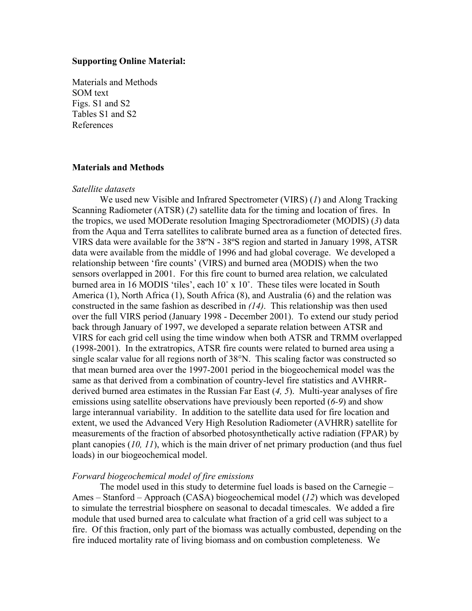### **Supporting Online Material:**

Materials and Methods SOM text Figs. S1 and S2 Tables S1 and S2 References

### **Materials and Methods**

#### *Satellite datasets*

We used new Visible and Infrared Spectrometer (VIRS) (*1*) and Along Tracking Scanning Radiometer (ATSR) (*2*) satellite data for the timing and location of fires. In the tropics, we used MODerate resolution Imaging Spectroradiometer (MODIS) (*3*) data from the Aqua and Terra satellites to calibrate burned area as a function of detected fires. VIRS data were available for the 38ºN - 38ºS region and started in January 1998, ATSR data were available from the middle of 1996 and had global coverage. We developed a relationship between 'fire counts' (VIRS) and burned area (MODIS) when the two sensors overlapped in 2001. For this fire count to burned area relation, we calculated burned area in 16 MODIS 'tiles', each 10˚ x 10˚. These tiles were located in South America (1), North Africa (1), South Africa (8), and Australia (6) and the relation was constructed in the same fashion as described in *(14)*. This relationship was then used over the full VIRS period (January 1998 - December 2001). To extend our study period back through January of 1997, we developed a separate relation between ATSR and VIRS for each grid cell using the time window when both ATSR and TRMM overlapped (1998-2001). In the extratropics, ATSR fire counts were related to burned area using a single scalar value for all regions north of 38°N. This scaling factor was constructed so that mean burned area over the 1997-2001 period in the biogeochemical model was the same as that derived from a combination of country-level fire statistics and AVHRRderived burned area estimates in the Russian Far East (*4, 5*). Multi-year analyses of fire emissions using satellite observations have previously been reported (*6-9*) and show large interannual variability. In addition to the satellite data used for fire location and extent, we used the Advanced Very High Resolution Radiometer (AVHRR) satellite for measurements of the fraction of absorbed photosynthetically active radiation (FPAR) by plant canopies (*10, 11*), which is the main driver of net primary production (and thus fuel loads) in our biogeochemical model.

## *Forward biogeochemical model of fire emissions*

The model used in this study to determine fuel loads is based on the Carnegie – Ames – Stanford – Approach (CASA) biogeochemical model (*12*) which was developed to simulate the terrestrial biosphere on seasonal to decadal timescales. We added a fire module that used burned area to calculate what fraction of a grid cell was subject to a fire. Of this fraction, only part of the biomass was actually combusted, depending on the fire induced mortality rate of living biomass and on combustion completeness. We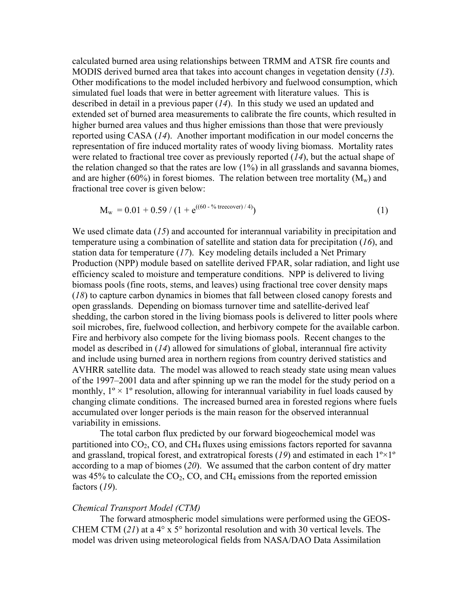calculated burned area using relationships between TRMM and ATSR fire counts and MODIS derived burned area that takes into account changes in vegetation density (*13*). Other modifications to the model included herbivory and fuelwood consumption, which simulated fuel loads that were in better agreement with literature values. This is described in detail in a previous paper (*14*). In this study we used an updated and extended set of burned area measurements to calibrate the fire counts, which resulted in higher burned area values and thus higher emissions than those that were previously reported using CASA (*14*). Another important modification in our model concerns the representation of fire induced mortality rates of woody living biomass. Mortality rates were related to fractional tree cover as previously reported (*14*), but the actual shape of the relation changed so that the rates are low (1%) in all grasslands and savanna biomes, and are higher (60%) in forest biomes. The relation between tree mortality ( $M_w$ ) and fractional tree cover is given below:

$$
M_w = 0.01 + 0.59 / (1 + e^{((60 - \frac{6}{6} \text{ treecover})/4)})
$$
 (1)

We used climate data (15) and accounted for interannual variability in precipitation and temperature using a combination of satellite and station data for precipitation (*16*), and station data for temperature (*17*). Key modeling details included a Net Primary Production (NPP) module based on satellite derived FPAR, solar radiation, and light use efficiency scaled to moisture and temperature conditions. NPP is delivered to living biomass pools (fine roots, stems, and leaves) using fractional tree cover density maps (*18*) to capture carbon dynamics in biomes that fall between closed canopy forests and open grasslands. Depending on biomass turnover time and satellite-derived leaf shedding, the carbon stored in the living biomass pools is delivered to litter pools where soil microbes, fire, fuelwood collection, and herbivory compete for the available carbon. Fire and herbivory also compete for the living biomass pools. Recent changes to the model as described in (*14*) allowed for simulations of global, interannual fire activity and include using burned area in northern regions from country derived statistics and AVHRR satellite data. The model was allowed to reach steady state using mean values of the 1997–2001 data and after spinning up we ran the model for the study period on a monthly,  $1^\circ \times 1^\circ$  resolution, allowing for interannual variability in fuel loads caused by changing climate conditions. The increased burned area in forested regions where fuels accumulated over longer periods is the main reason for the observed interannual variability in emissions.

The total carbon flux predicted by our forward biogeochemical model was partitioned into  $CO<sub>2</sub>$ ,  $CO$ , and  $CH<sub>4</sub>$  fluxes using emissions factors reported for savanna and grassland, tropical forest, and extratropical forests  $(19)$  and estimated in each  $1^{\circ} \times 1^{\circ}$ according to a map of biomes (*20*). We assumed that the carbon content of dry matter was 45% to calculate the  $CO<sub>2</sub>$ , CO, and CH<sub>4</sub> emissions from the reported emission factors (*19*).

#### *Chemical Transport Model (CTM)*

The forward atmospheric model simulations were performed using the GEOS-CHEM CTM (*21*) at a 4° x 5° horizontal resolution and with 30 vertical levels. The model was driven using meteorological fields from NASA/DAO Data Assimilation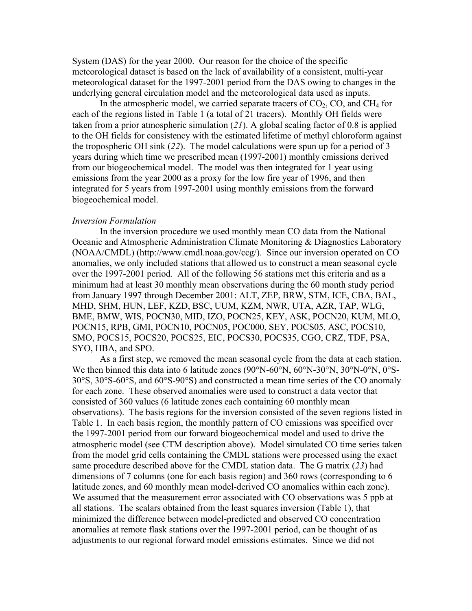System (DAS) for the year 2000. Our reason for the choice of the specific meteorological dataset is based on the lack of availability of a consistent, multi-year meteorological dataset for the 1997-2001 period from the DAS owing to changes in the underlying general circulation model and the meteorological data used as inputs.

In the atmospheric model, we carried separate tracers of  $CO<sub>2</sub>$ ,  $CO<sub>3</sub>$ , and  $CH<sub>4</sub>$  for each of the regions listed in Table 1 (a total of 21 tracers). Monthly OH fields were taken from a prior atmospheric simulation (*21*). A global scaling factor of 0.8 is applied to the OH fields for consistency with the estimated lifetime of methyl chloroform against the tropospheric OH sink (*22*). The model calculations were spun up for a period of 3 years during which time we prescribed mean (1997-2001) monthly emissions derived from our biogeochemical model. The model was then integrated for 1 year using emissions from the year 2000 as a proxy for the low fire year of 1996, and then integrated for 5 years from 1997-2001 using monthly emissions from the forward biogeochemical model.

#### *Inversion Formulation*

In the inversion procedure we used monthly mean CO data from the National Oceanic and Atmospheric Administration Climate Monitoring & Diagnostics Laboratory (NOAA/CMDL) (http://www.cmdl.noaa.gov/ccg/). Since our inversion operated on CO anomalies, we only included stations that allowed us to construct a mean seasonal cycle over the 1997-2001 period. All of the following 56 stations met this criteria and as a minimum had at least 30 monthly mean observations during the 60 month study period from January 1997 through December 2001: ALT, ZEP, BRW, STM, ICE, CBA, BAL, MHD, SHM, HUN, LEF, KZD, BSC, UUM, KZM, NWR, UTA, AZR, TAP, WLG, BME, BMW, WIS, POCN30, MID, IZO, POCN25, KEY, ASK, POCN20, KUM, MLO, POCN15, RPB, GMI, POCN10, POCN05, POC000, SEY, POCS05, ASC, POCS10, SMO, POCS15, POCS20, POCS25, EIC, POCS30, POCS35, CGO, CRZ, TDF, PSA, SYO, HBA, and SPO.

As a first step, we removed the mean seasonal cycle from the data at each station. We then binned this data into 6 latitude zones (90°N-60°N, 60°N-30°N, 30°N-0°N, 0°S-30°S, 30°S-60°S, and 60°S-90°S) and constructed a mean time series of the CO anomaly for each zone. These observed anomalies were used to construct a data vector that consisted of 360 values (6 latitude zones each containing 60 monthly mean observations). The basis regions for the inversion consisted of the seven regions listed in Table 1. In each basis region, the monthly pattern of CO emissions was specified over the 1997-2001 period from our forward biogeochemical model and used to drive the atmospheric model (see CTM description above). Model simulated CO time series taken from the model grid cells containing the CMDL stations were processed using the exact same procedure described above for the CMDL station data. The G matrix (*23*) had dimensions of 7 columns (one for each basis region) and 360 rows (corresponding to 6 latitude zones, and 60 monthly mean model-derived CO anomalies within each zone). We assumed that the measurement error associated with CO observations was 5 ppb at all stations. The scalars obtained from the least squares inversion (Table 1), that minimized the difference between model-predicted and observed CO concentration anomalies at remote flask stations over the 1997-2001 period, can be thought of as adjustments to our regional forward model emissions estimates. Since we did not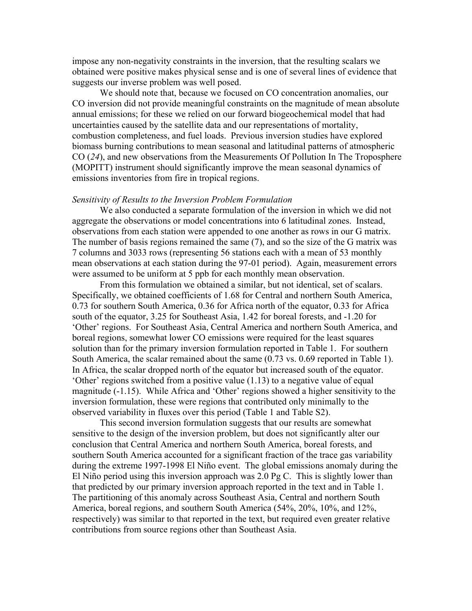impose any non-negativity constraints in the inversion, that the resulting scalars we obtained were positive makes physical sense and is one of several lines of evidence that suggests our inverse problem was well posed.

We should note that, because we focused on CO concentration anomalies, our CO inversion did not provide meaningful constraints on the magnitude of mean absolute annual emissions; for these we relied on our forward biogeochemical model that had uncertainties caused by the satellite data and our representations of mortality, combustion completeness, and fuel loads. Previous inversion studies have explored biomass burning contributions to mean seasonal and latitudinal patterns of atmospheric CO (*24*), and new observations from the Measurements Of Pollution In The Troposphere (MOPITT) instrument should significantly improve the mean seasonal dynamics of emissions inventories from fire in tropical regions.

#### *Sensitivity of Results to the Inversion Problem Formulation*

We also conducted a separate formulation of the inversion in which we did not aggregate the observations or model concentrations into 6 latitudinal zones. Instead, observations from each station were appended to one another as rows in our G matrix. The number of basis regions remained the same (7), and so the size of the G matrix was 7 columns and 3033 rows (representing 56 stations each with a mean of 53 monthly mean observations at each station during the 97-01 period). Again, measurement errors were assumed to be uniform at 5 ppb for each monthly mean observation.

From this formulation we obtained a similar, but not identical, set of scalars. Specifically, we obtained coefficients of 1.68 for Central and northern South America, 0.73 for southern South America, 0.36 for Africa north of the equator, 0.33 for Africa south of the equator, 3.25 for Southeast Asia, 1.42 for boreal forests, and -1.20 for 'Other' regions. For Southeast Asia, Central America and northern South America, and boreal regions, somewhat lower CO emissions were required for the least squares solution than for the primary inversion formulation reported in Table 1. For southern South America, the scalar remained about the same (0.73 vs. 0.69 reported in Table 1). In Africa, the scalar dropped north of the equator but increased south of the equator. 'Other' regions switched from a positive value (1.13) to a negative value of equal magnitude (-1.15). While Africa and 'Other' regions showed a higher sensitivity to the inversion formulation, these were regions that contributed only minimally to the observed variability in fluxes over this period (Table 1 and Table S2).

This second inversion formulation suggests that our results are somewhat sensitive to the design of the inversion problem, but does not significantly alter our conclusion that Central America and northern South America, boreal forests, and southern South America accounted for a significant fraction of the trace gas variability during the extreme 1997-1998 El Niño event. The global emissions anomaly during the El Niño period using this inversion approach was 2.0 Pg C. This is slightly lower than that predicted by our primary inversion approach reported in the text and in Table 1. The partitioning of this anomaly across Southeast Asia, Central and northern South America, boreal regions, and southern South America (54%, 20%, 10%, and 12%, respectively) was similar to that reported in the text, but required even greater relative contributions from source regions other than Southeast Asia.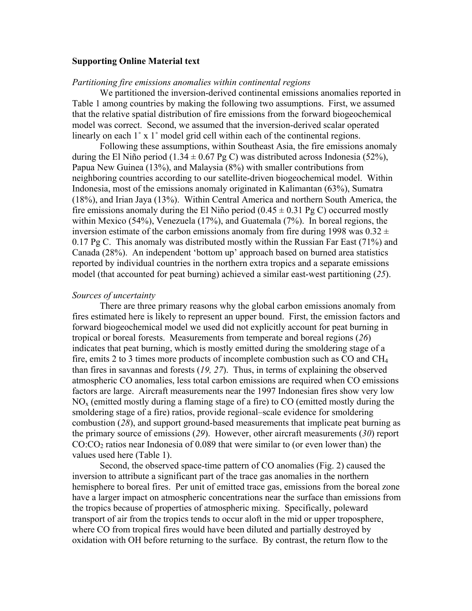## **Supporting Online Material text**

#### *Partitioning fire emissions anomalies within continental regions*

We partitioned the inversion-derived continental emissions anomalies reported in Table 1 among countries by making the following two assumptions. First, we assumed that the relative spatial distribution of fire emissions from the forward biogeochemical model was correct. Second, we assumed that the inversion-derived scalar operated linearly on each 1˚ x 1˚ model grid cell within each of the continental regions.

Following these assumptions, within Southeast Asia, the fire emissions anomaly during the El Niño period (1.34  $\pm$  0.67 Pg C) was distributed across Indonesia (52%), Papua New Guinea (13%), and Malaysia (8%) with smaller contributions from neighboring countries according to our satellite-driven biogeochemical model. Within Indonesia, most of the emissions anomaly originated in Kalimantan (63%), Sumatra (18%), and Irian Jaya (13%). Within Central America and northern South America, the fire emissions anomaly during the El Niño period  $(0.45 \pm 0.31 \text{ pg C})$  occurred mostly within Mexico (54%), Venezuela (17%), and Guatemala (7%). In boreal regions, the inversion estimate of the carbon emissions anomaly from fire during 1998 was  $0.32 \pm$ 0.17 Pg C. This anomaly was distributed mostly within the Russian Far East (71%) and Canada (28%). An independent 'bottom up' approach based on burned area statistics reported by individual countries in the northern extra tropics and a separate emissions model (that accounted for peat burning) achieved a similar east-west partitioning (*25*).

#### *Sources of uncertainty*

There are three primary reasons why the global carbon emissions anomaly from fires estimated here is likely to represent an upper bound. First, the emission factors and forward biogeochemical model we used did not explicitly account for peat burning in tropical or boreal forests. Measurements from temperate and boreal regions (*26*) indicates that peat burning, which is mostly emitted during the smoldering stage of a fire, emits 2 to 3 times more products of incomplete combustion such as  $CO$  and  $CH<sub>4</sub>$ than fires in savannas and forests (*19, 27*). Thus, in terms of explaining the observed atmospheric CO anomalies, less total carbon emissions are required when CO emissions factors are large. Aircraft measurements near the 1997 Indonesian fires show very low  $NO<sub>x</sub>$  (emitted mostly during a flaming stage of a fire) to CO (emitted mostly during the smoldering stage of a fire) ratios, provide regional–scale evidence for smoldering combustion (*28*), and support ground-based measurements that implicate peat burning as the primary source of emissions (*29*). However, other aircraft measurements (*30*) report  $CO:CO<sub>2</sub>$  ratios near Indonesia of 0.089 that were similar to (or even lower than) the values used here (Table 1).

Second, the observed space-time pattern of CO anomalies (Fig. 2) caused the inversion to attribute a significant part of the trace gas anomalies in the northern hemisphere to boreal fires. Per unit of emitted trace gas, emissions from the boreal zone have a larger impact on atmospheric concentrations near the surface than emissions from the tropics because of properties of atmospheric mixing. Specifically, poleward transport of air from the tropics tends to occur aloft in the mid or upper troposphere, where CO from tropical fires would have been diluted and partially destroyed by oxidation with OH before returning to the surface. By contrast, the return flow to the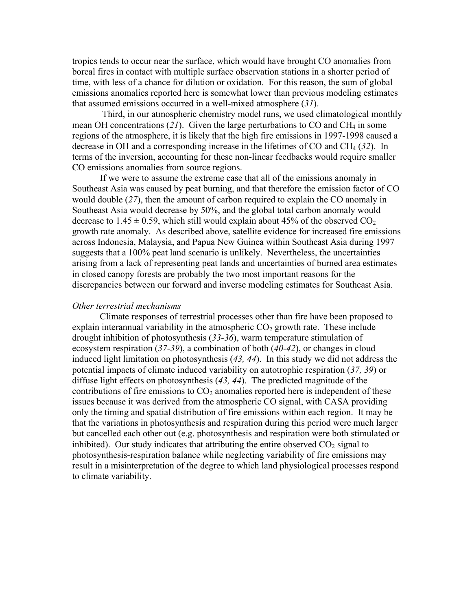tropics tends to occur near the surface, which would have brought CO anomalies from boreal fires in contact with multiple surface observation stations in a shorter period of time, with less of a chance for dilution or oxidation. For this reason, the sum of global emissions anomalies reported here is somewhat lower than previous modeling estimates that assumed emissions occurred in a well-mixed atmosphere (*31*).

 Third, in our atmospheric chemistry model runs, we used climatological monthly mean OH concentrations (*21*). Given the large perturbations to CO and CH4 in some regions of the atmosphere, it is likely that the high fire emissions in 1997-1998 caused a decrease in OH and a corresponding increase in the lifetimes of CO and CH4 (*32*). In terms of the inversion, accounting for these non-linear feedbacks would require smaller CO emissions anomalies from source regions.

If we were to assume the extreme case that all of the emissions anomaly in Southeast Asia was caused by peat burning, and that therefore the emission factor of CO would double (*27*), then the amount of carbon required to explain the CO anomaly in Southeast Asia would decrease by 50%, and the global total carbon anomaly would decrease to 1.45  $\pm$  0.59, which still would explain about 45% of the observed CO<sub>2</sub> growth rate anomaly. As described above, satellite evidence for increased fire emissions across Indonesia, Malaysia, and Papua New Guinea within Southeast Asia during 1997 suggests that a 100% peat land scenario is unlikely. Nevertheless, the uncertainties arising from a lack of representing peat lands and uncertainties of burned area estimates in closed canopy forests are probably the two most important reasons for the discrepancies between our forward and inverse modeling estimates for Southeast Asia.

#### *Other terrestrial mechanisms*

Climate responses of terrestrial processes other than fire have been proposed to explain interannual variability in the atmospheric  $CO<sub>2</sub>$  growth rate. These include drought inhibition of photosynthesis (*33-36*), warm temperature stimulation of ecosystem respiration (*37-39*), a combination of both (*40-42*), or changes in cloud induced light limitation on photosynthesis (*43, 44*). In this study we did not address the potential impacts of climate induced variability on autotrophic respiration (*37, 39*) or diffuse light effects on photosynthesis (*43, 44*). The predicted magnitude of the contributions of fire emissions to  $CO<sub>2</sub>$  anomalies reported here is independent of these issues because it was derived from the atmospheric CO signal, with CASA providing only the timing and spatial distribution of fire emissions within each region. It may be that the variations in photosynthesis and respiration during this period were much larger but cancelled each other out (e.g. photosynthesis and respiration were both stimulated or inhibited). Our study indicates that attributing the entire observed  $CO<sub>2</sub>$  signal to photosynthesis-respiration balance while neglecting variability of fire emissions may result in a misinterpretation of the degree to which land physiological processes respond to climate variability.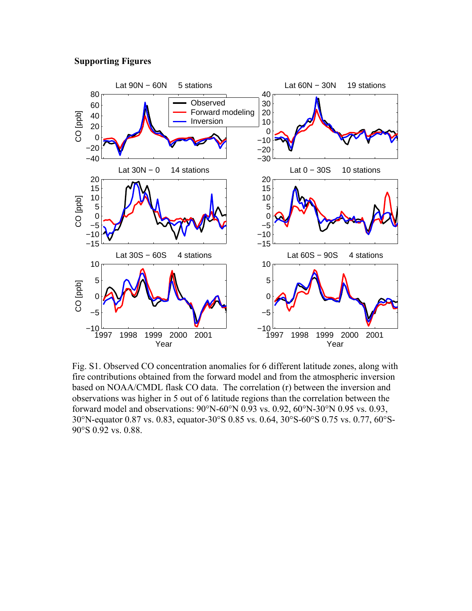### **Supporting Figures**



Fig. S1. Observed CO concentration anomalies for 6 different latitude zones, along with fire contributions obtained from the forward model and from the atmospheric inversion based on NOAA/CMDL flask CO data. The correlation (r) between the inversion and observations was higher in 5 out of 6 latitude regions than the correlation between the forward model and observations: 90°N-60°N 0.93 vs. 0.92, 60°N-30°N 0.95 vs. 0.93, 30°N-equator 0.87 vs. 0.83, equator-30°S 0.85 vs. 0.64, 30°S-60°S 0.75 vs. 0.77, 60°S-90°S 0.92 vs. 0.88.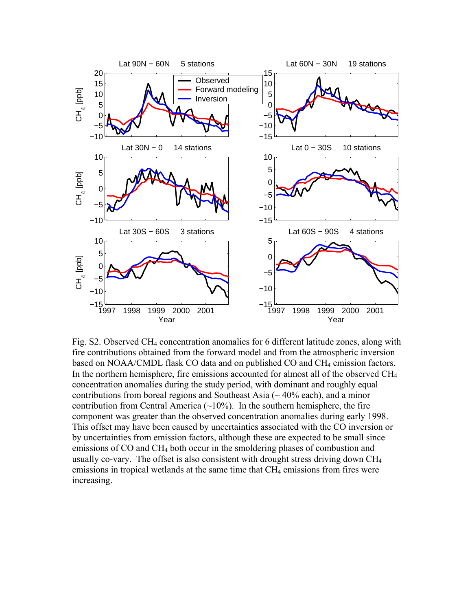

Fig. S2. Observed CH4 concentration anomalies for 6 different latitude zones, along with fire contributions obtained from the forward model and from the atmospheric inversion based on NOAA/CMDL flask CO data and on published CO and CH4 emission factors. In the northern hemisphere, fire emissions accounted for almost all of the observed  $CH<sub>4</sub>$ concentration anomalies during the study period, with dominant and roughly equal contributions from boreal regions and Southeast Asia  $($   $\sim$  40% each), and a minor contribution from Central America  $(\sim 10\%)$ . In the southern hemisphere, the fire component was greater than the observed concentration anomalies during early 1998. This offset may have been caused by uncertainties associated with the CO inversion or by uncertainties from emission factors, although these are expected to be small since emissions of CO and CH<sub>4</sub> both occur in the smoldering phases of combustion and usually co-vary. The offset is also consistent with drought stress driving down CH4 emissions in tropical wetlands at the same time that CH<sub>4</sub> emissions from fires were increasing.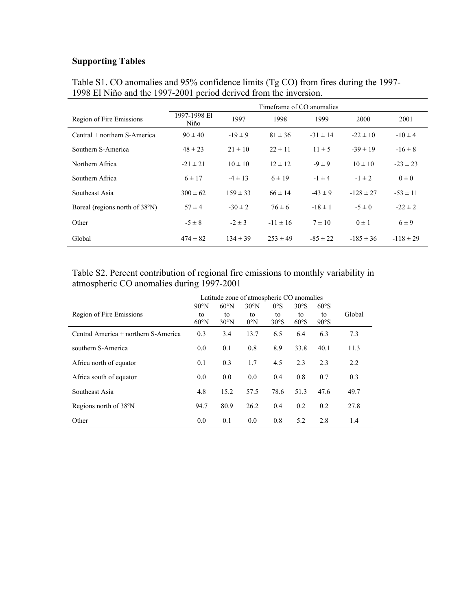# **Supporting Tables**

|                                | Timeframe of CO anomalies |              |              |              |               |               |  |  |  |  |
|--------------------------------|---------------------------|--------------|--------------|--------------|---------------|---------------|--|--|--|--|
| Region of Fire Emissions       | 1997-1998 El<br>Niño      | 1997         | 1998         | 1999         | 2000          | 2001          |  |  |  |  |
| Central + northern S-America   | $90 \pm 40$               | $-19 \pm 9$  | $81 \pm 36$  | $-31 \pm 14$ | $-22 \pm 10$  | $-10 \pm 4$   |  |  |  |  |
| Southern S-America             | $48 \pm 23$               | $21 \pm 10$  | $22 \pm 11$  | $11 \pm 5$   | $-39 \pm 19$  | $-16 \pm 8$   |  |  |  |  |
| Northern Africa                | $-21 \pm 21$              | $10 \pm 10$  | $12 \pm 12$  | $-9 \pm 9$   | $10 \pm 10$   | $-23 \pm 23$  |  |  |  |  |
| Southern Africa                | $6 \pm 17$                | $-4 \pm 13$  | $6 \pm 19$   | $-1 \pm 4$   | $-1 \pm 2$    | $0 \pm 0$     |  |  |  |  |
| Southeast Asia                 | $300 \pm 62$              | $159 \pm 33$ | $66 \pm 14$  | $-43 \pm 9$  | $-128 \pm 27$ | $-53 \pm 11$  |  |  |  |  |
| Boreal (regions north of 38°N) | $57 \pm 4$                | $-30 \pm 2$  | $76 \pm 6$   | $-18 \pm 1$  | $-5 \pm 0$    | $-22 \pm 2$   |  |  |  |  |
| Other                          | $-5 \pm 8$                | $-2 \pm 3$   | $-11 \pm 16$ | $7 \pm 10$   | $0 \pm 1$     | $6 \pm 9$     |  |  |  |  |
| Global                         | $474 \pm 82$              | $134 \pm 39$ | $253 \pm 49$ | $-85 \pm 22$ | $-185 \pm 36$ | $-118 \pm 29$ |  |  |  |  |

Table S1. CO anomalies and 95% confidence limits (Tg CO) from fires during the 1997- 1998 El Niño and the 1997-2001 period derived from the inversion.

## Table S2. Percent contribution of regional fire emissions to monthly variability in atmospheric CO anomalies during 1997-2001

|                                      | Latitude zone of atmospheric CO anomalies |                                        |                                      |                             |                    |                    |        |
|--------------------------------------|-------------------------------------------|----------------------------------------|--------------------------------------|-----------------------------|--------------------|--------------------|--------|
| Region of Fire Emissions             | $90^{\circ}$ N<br>to<br>$60^{\circ}$ N    | $60^{\circ}$ N<br>to<br>$30^{\circ}$ N | $30^{\circ}$ N<br>to<br>$0^{\circ}N$ | $0^{\circ}$ S<br>to<br>30°S | 30°S<br>to<br>60°S | 60°S<br>to<br>90°S | Global |
| Central America + northern S-America | 0.3                                       | 3.4                                    | 13.7                                 | 6.5                         | 6.4                | 6.3                | 7.3    |
| southern S-America                   | 0.0                                       | 0.1                                    | 0.8                                  | 8.9                         | 33.8               | 40.1               | 11.3   |
| Africa north of equator              | 0.1                                       | 0.3                                    | 1.7                                  | 4.5                         | 2.3                | 2.3                | 2.2    |
| Africa south of equator              | 0.0                                       | 0.0                                    | 0.0                                  | 0.4                         | 0.8                | 0.7                | 0.3    |
| Southeast Asia                       | 4.8                                       | 15.2                                   | 57.5                                 | 78.6                        | 51.3               | 47.6               | 49.7   |
| Regions north of 38°N                | 94.7                                      | 80.9                                   | 26.2                                 | 0.4                         | 0.2                | 0.2                | 27.8   |
| Other                                | 0.0                                       | 0.1                                    | 0.0                                  | 0.8                         | 5.2                | 2.8                | 1.4    |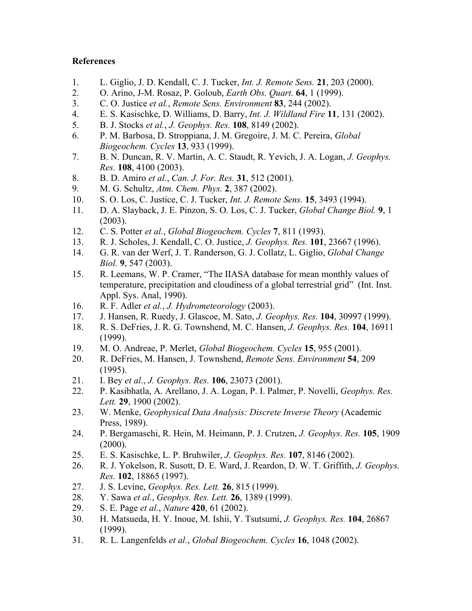## **References**

- 1. L. Giglio, J. D. Kendall, C. J. Tucker, *Int. J. Remote Sens.* **21**, 203 (2000).
- 2. O. Arino, J-M. Rosaz, P. Goloub, *Earth Obs. Quart.* **64**, 1 (1999).
- 3. C. O. Justice *et al.*, *Remote Sens. Environment* **83**, 244 (2002).
- 4. E. S. Kasischke, D. Williams, D. Barry, *Int. J. Wildland Fire* **11**, 131 (2002).
- 5. B. J. Stocks *et al.*, *J. Geophys. Res.* **108**, 8149 (2002).
- 6. P. M. Barbosa, D. Stroppiana, J. M. Gregoire, J. M. C. Pereira, *Global Biogeochem. Cycles* **13**, 933 (1999).
- 7. B. N. Duncan, R. V. Martin, A. C. Staudt, R. Yevich, J. A. Logan, *J. Geophys. Res.* **108**, 4100 (2003).
- 8. B. D. Amiro *et al.*, *Can. J. For. Res.* **31**, 512 (2001).
- 9. M. G. Schultz, *Atm. Chem. Phys.* **2**, 387 (2002).
- 10. S. O. Los, C. Justice, C. J. Tucker, *Int. J. Remote Sens.* **15**, 3493 (1994).
- 11. D. A. Slayback, J. E. Pinzon, S. O. Los, C. J. Tucker, *Global Change Biol.* **9**, 1 (2003).
- 12. C. S. Potter *et al.*, *Global Biogeochem. Cycles* **7**, 811 (1993).
- 13. R. J. Scholes, J. Kendall, C. O. Justice, *J. Geophys. Res.* **101**, 23667 (1996).
- 14. G. R. van der Werf, J. T. Randerson, G. J. Collatz, L. Giglio, *Global Change Biol.* **9**, 547 (2003).
- 15. R. Leemans, W. P. Cramer, "The IIASA database for mean monthly values of temperature, precipitation and cloudiness of a global terrestrial grid" (Int. Inst. Appl. Sys. Anal, 1990).
- 16. R. F. Adler *et al.*, *J. Hydrometeorology* (2003).
- 17. J. Hansen, R. Ruedy, J. Glascoe, M. Sato, *J. Geophys. Res.* **104**, 30997 (1999).
- 18. R. S. DeFries, J. R. G. Townshend, M. C. Hansen, *J. Geophys. Res.* **104**, 16911 (1999).
- 19. M. O. Andreae, P. Merlet, *Global Biogeochem. Cycles* **15**, 955 (2001).
- 20. R. DeFries, M. Hansen, J. Townshend, *Remote Sens. Environment* **54**, 209 (1995).
- 21. I. Bey *et al.*, *J. Geophys. Res.* **106**, 23073 (2001).
- 22. P. Kasibhatla, A. Arellano, J. A. Logan, P. I. Palmer, P. Novelli, *Geophys. Res. Lett.* **29**, 1900 (2002).
- 23. W. Menke, *Geophysical Data Analysis: Discrete Inverse Theory* (Academic Press, 1989).
- 24. P. Bergamaschi, R. Hein, M. Heimann, P. J. Crutzen, *J. Geophys. Res.* **105**, 1909  $(2000)$ .
- 25. E. S. Kasischke, L. P. Bruhwiler, *J. Geophys. Res.* **107**, 8146 (2002).
- 26. R. J. Yokelson, R. Susott, D. E. Ward, J. Reardon, D. W. T. Griffith, *J. Geophys. Res.* **102**, 18865 (1997).
- 27. J. S. Levine, *Geophys. Res. Lett.* **26**, 815 (1999).
- 28. Y. Sawa *et al.*, *Geophys. Res. Lett.* **26**, 1389 (1999).
- 29. S. E. Page *et al.*, *Nature* **420**, 61 (2002).
- 30. H. Matsueda, H. Y. Inoue, M. Ishii, Y. Tsutsumi, *J. Geophys. Res.* **104**, 26867 (1999).
- 31. R. L. Langenfelds *et al.*, *Global Biogeochem. Cycles* **16**, 1048 (2002).